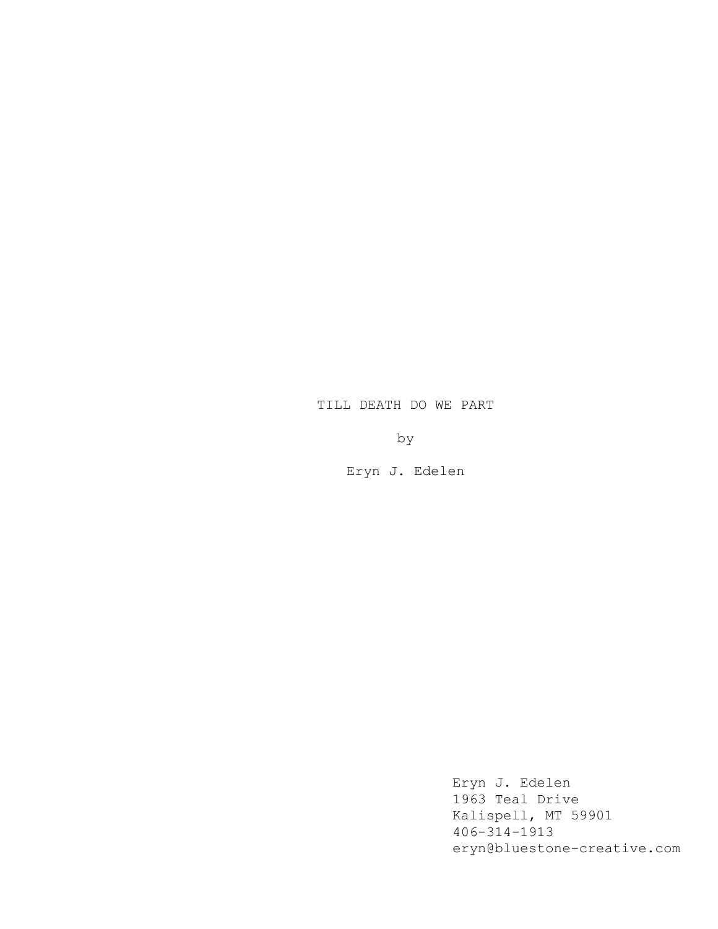# TILL DEATH DO WE PART

by

Eryn J. Edelen

Eryn J. Edelen 1963 Teal Drive Kalispell, MT 59901 406-314-1913 eryn@bluestone-creative.com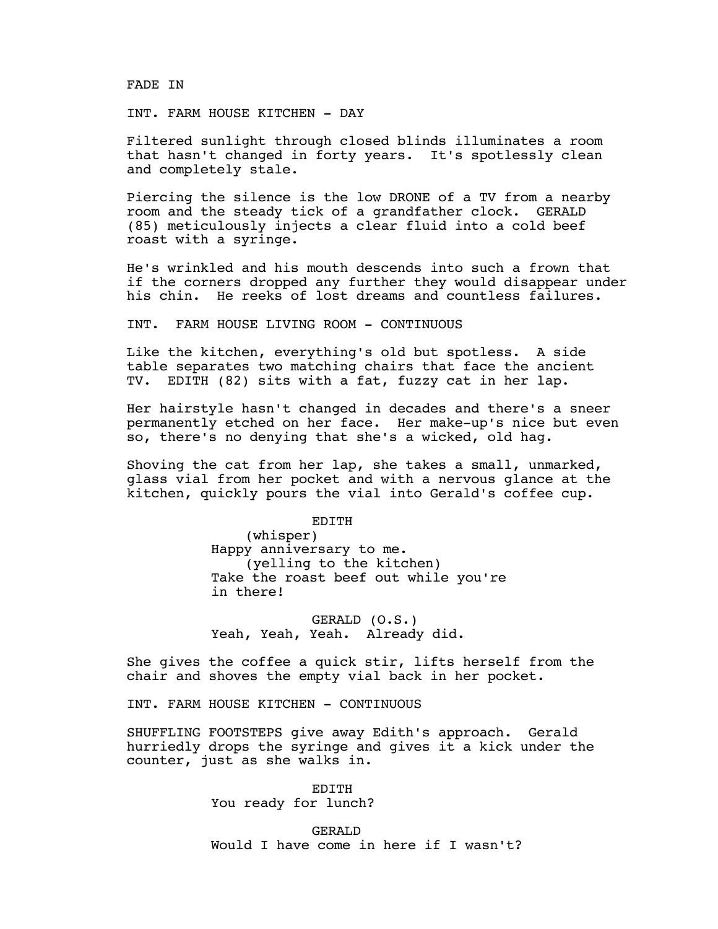FADE IN

INT. FARM HOUSE KITCHEN - DAY

Filtered sunlight through closed blinds illuminates a room that hasn't changed in forty years. It's spotlessly clean and completely stale.

Piercing the silence is the low DRONE of a TV from a nearby room and the steady tick of a grandfather clock. GERALD (85) meticulously injects a clear fluid into a cold beef roast with a syringe.

He's wrinkled and his mouth descends into such a frown that if the corners dropped any further they would disappear under his chin. He reeks of lost dreams and countless failures.

INT. FARM HOUSE LIVING ROOM - CONTINUOUS

Like the kitchen, everything's old but spotless. A side table separates two matching chairs that face the ancient TV. EDITH (82) sits with a fat, fuzzy cat in her lap.

Her hairstyle hasn't changed in decades and there's a sneer permanently etched on her face. Her make-up's nice but even so, there's no denying that she's a wicked, old hag.

Shoving the cat from her lap, she takes a small, unmarked, glass vial from her pocket and with a nervous glance at the kitchen, quickly pours the vial into Gerald's coffee cup.

> EDITH (whisper) Happy anniversary to me. (yelling to the kitchen) Take the roast beef out while you're

GERALD (O.S.) Yeah, Yeah, Yeah. Already did.

She gives the coffee a quick stir, lifts herself from the chair and shoves the empty vial back in her pocket.

INT. FARM HOUSE KITCHEN - CONTINUOUS

in there!

SHUFFLING FOOTSTEPS give away Edith's approach. Gerald hurriedly drops the syringe and gives it a kick under the counter, just as she walks in.

> EDITH You ready for lunch?

GERALD Would I have come in here if I wasn't?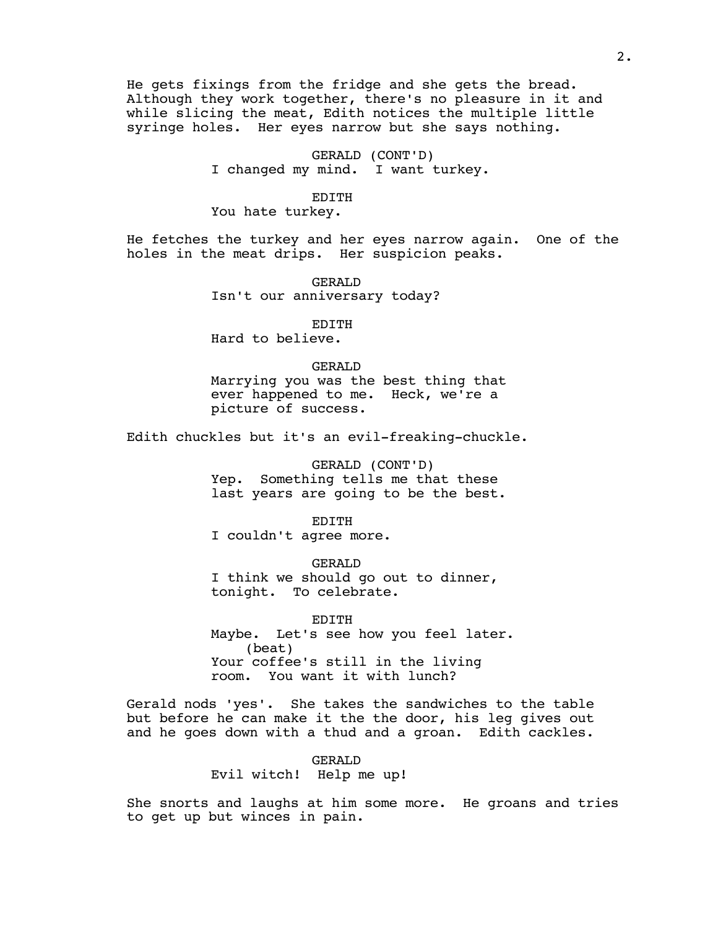He gets fixings from the fridge and she gets the bread. Although they work together, there's no pleasure in it and while slicing the meat, Edith notices the multiple little syringe holes. Her eyes narrow but she says nothing.

# GERALD (CONT'D)

I changed my mind. I want turkey.

#### EDITH

You hate turkey.

He fetches the turkey and her eyes narrow again. One of the holes in the meat drips. Her suspicion peaks.

> GERALD Isn't our anniversary today?

> > EDITH

Hard to believe.

## GERALD

Marrying you was the best thing that ever happened to me. Heck, we're a picture of success.

Edith chuckles but it's an evil-freaking-chuckle.

# GERALD (CONT'D)

Yep. Something tells me that these last years are going to be the best.

## **EDITH**

I couldn't agree more.

#### GERALD

I think we should go out to dinner, tonight. To celebrate.

EDITH Maybe. Let's see how you feel later. (beat) Your coffee's still in the living room. You want it with lunch?

Gerald nods 'yes'. She takes the sandwiches to the table but before he can make it the the door, his leg gives out and he goes down with a thud and a groan. Edith cackles.

# GERALD

Evil witch! Help me up!

She snorts and laughs at him some more. He groans and tries to get up but winces in pain.